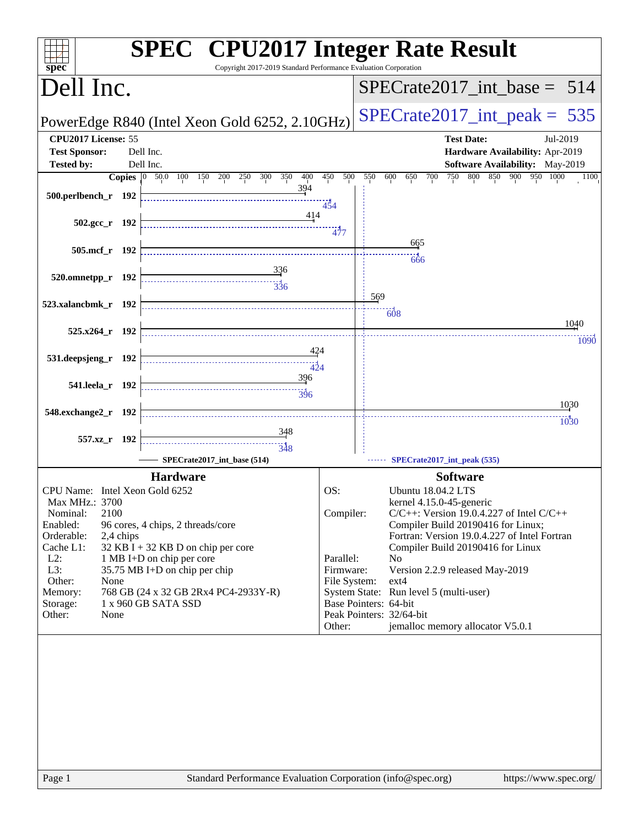| Copyright 2017-2019 Standard Performance Evaluation Corporation<br>spec <sup>®</sup>                                                                                                                                                                                                                                                                                                                                              | <b>SPEC<sup>®</sup></b> CPU2017 Integer Rate Result                                                                                                                                                                                                                                                                                                                                                                                                                                                                          |
|-----------------------------------------------------------------------------------------------------------------------------------------------------------------------------------------------------------------------------------------------------------------------------------------------------------------------------------------------------------------------------------------------------------------------------------|------------------------------------------------------------------------------------------------------------------------------------------------------------------------------------------------------------------------------------------------------------------------------------------------------------------------------------------------------------------------------------------------------------------------------------------------------------------------------------------------------------------------------|
| Dell Inc.                                                                                                                                                                                                                                                                                                                                                                                                                         | $SPECrate2017$ _int_base = 514                                                                                                                                                                                                                                                                                                                                                                                                                                                                                               |
| PowerEdge R840 (Intel Xeon Gold 6252, 2.10GHz)                                                                                                                                                                                                                                                                                                                                                                                    | $SPECrate2017\_int\_peak = 535$                                                                                                                                                                                                                                                                                                                                                                                                                                                                                              |
| CPU2017 License: 55<br><b>Test Sponsor:</b><br>Dell Inc.<br><b>Tested by:</b><br>Dell Inc.<br><b>Copies</b> 0 50.0 100 150 200<br>350<br>400<br>250<br>300                                                                                                                                                                                                                                                                        | <b>Test Date:</b><br>Jul-2019<br>Hardware Availability: Apr-2019<br>Software Availability: May-2019<br>450<br>500<br>550<br>700<br>750<br>800<br>850<br>900 950 1000<br>600<br>650<br>1100                                                                                                                                                                                                                                                                                                                                   |
| 394<br>500.perlbench_r 192                                                                                                                                                                                                                                                                                                                                                                                                        | 454                                                                                                                                                                                                                                                                                                                                                                                                                                                                                                                          |
| 414<br>$502.\text{gcc r}$ 192                                                                                                                                                                                                                                                                                                                                                                                                     | 477                                                                                                                                                                                                                                                                                                                                                                                                                                                                                                                          |
| 505.mcf_r 192                                                                                                                                                                                                                                                                                                                                                                                                                     | 665<br>666                                                                                                                                                                                                                                                                                                                                                                                                                                                                                                                   |
| 336<br>520.omnetpp_r 192<br>$\frac{1}{336}$                                                                                                                                                                                                                                                                                                                                                                                       | 569                                                                                                                                                                                                                                                                                                                                                                                                                                                                                                                          |
| 523.xalancbmk_r 192                                                                                                                                                                                                                                                                                                                                                                                                               | 608<br>1040                                                                                                                                                                                                                                                                                                                                                                                                                                                                                                                  |
| 525.x264_r 192<br>424<br>531.deepsjeng_r 192                                                                                                                                                                                                                                                                                                                                                                                      | 1090                                                                                                                                                                                                                                                                                                                                                                                                                                                                                                                         |
| $-424$<br>396<br>541.leela_r 192                                                                                                                                                                                                                                                                                                                                                                                                  |                                                                                                                                                                                                                                                                                                                                                                                                                                                                                                                              |
| 548.exchange2_r 192                                                                                                                                                                                                                                                                                                                                                                                                               | 1030<br>1030                                                                                                                                                                                                                                                                                                                                                                                                                                                                                                                 |
| <u>348</u><br>557.xz_r 192<br>348                                                                                                                                                                                                                                                                                                                                                                                                 |                                                                                                                                                                                                                                                                                                                                                                                                                                                                                                                              |
| SPECrate2017_int_base (514)                                                                                                                                                                                                                                                                                                                                                                                                       | SPECrate2017_int_peak (535)                                                                                                                                                                                                                                                                                                                                                                                                                                                                                                  |
| <b>Hardware</b><br>CPU Name: Intel Xeon Gold 6252<br>Max MHz.: 3700<br>2100<br>Nominal:<br>Enabled:<br>96 cores, 4 chips, 2 threads/core<br>Orderable:<br>2,4 chips<br>$32$ KB I + 32 KB D on chip per core<br>Cache L1:<br>$L2$ :<br>1 MB I+D on chip per core<br>L3:<br>35.75 MB I+D on chip per chip<br>Other:<br>None<br>768 GB (24 x 32 GB 2Rx4 PC4-2933Y-R)<br>Memory:<br>1 x 960 GB SATA SSD<br>Storage:<br>Other:<br>None | <b>Software</b><br>OS:<br><b>Ubuntu 18.04.2 LTS</b><br>kernel 4.15.0-45-generic<br>Compiler:<br>$C/C++$ : Version 19.0.4.227 of Intel $C/C++$<br>Compiler Build 20190416 for Linux;<br>Fortran: Version 19.0.4.227 of Intel Fortran<br>Compiler Build 20190416 for Linux<br>Parallel:<br>N <sub>0</sub><br>Firmware:<br>Version 2.2.9 released May-2019<br>File System:<br>ext4<br>System State: Run level 5 (multi-user)<br>Base Pointers: 64-bit<br>Peak Pointers: 32/64-bit<br>jemalloc memory allocator V5.0.1<br>Other: |
| Page 1<br>Standard Performance Evaluation Corporation (info@spec.org)                                                                                                                                                                                                                                                                                                                                                             | https://www.spec.org/                                                                                                                                                                                                                                                                                                                                                                                                                                                                                                        |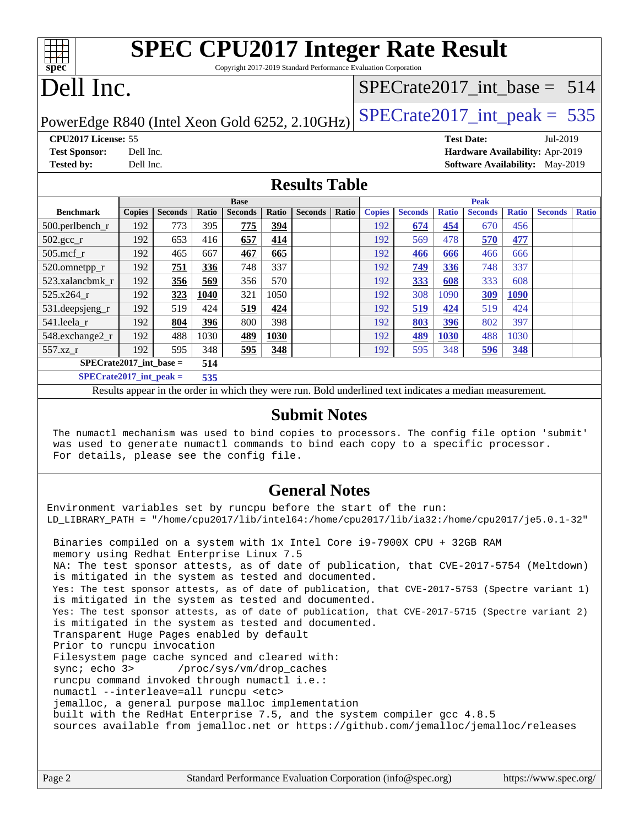| <b>SPEC CPU2017 Integer Rate Result</b><br>spec <sup>®</sup><br>Copyright 2017-2019 Standard Performance Evaluation Corporation |               |                |       |                |            |                |       |               |                |              |                                        |              |                |              |
|---------------------------------------------------------------------------------------------------------------------------------|---------------|----------------|-------|----------------|------------|----------------|-------|---------------|----------------|--------------|----------------------------------------|--------------|----------------|--------------|
| Dell Inc.<br>$SPECrate2017\_int\_base = 514$                                                                                    |               |                |       |                |            |                |       |               |                |              |                                        |              |                |              |
| $SPECrate2017\_int\_peak = 535$<br>PowerEdge R840 (Intel Xeon Gold 6252, 2.10GHz)                                               |               |                |       |                |            |                |       |               |                |              |                                        |              |                |              |
| <b>CPU2017 License: 55</b>                                                                                                      |               |                |       |                |            |                |       |               |                |              | <b>Test Date:</b>                      |              | Jul-2019       |              |
| <b>Test Sponsor:</b>                                                                                                            | Dell Inc.     |                |       |                |            |                |       |               |                |              | <b>Hardware Availability: Apr-2019</b> |              |                |              |
| <b>Tested by:</b>                                                                                                               | Dell Inc.     |                |       |                |            |                |       |               |                |              | <b>Software Availability:</b> May-2019 |              |                |              |
| <b>Results Table</b>                                                                                                            |               |                |       |                |            |                |       |               |                |              |                                        |              |                |              |
|                                                                                                                                 |               |                |       | <b>Base</b>    |            |                |       |               |                |              | <b>Peak</b>                            |              |                |              |
| <b>Benchmark</b>                                                                                                                | <b>Copies</b> | <b>Seconds</b> | Ratio | <b>Seconds</b> | Ratio      | <b>Seconds</b> | Ratio | <b>Copies</b> | <b>Seconds</b> | <b>Ratio</b> | <b>Seconds</b>                         | <b>Ratio</b> | <b>Seconds</b> | <b>Ratio</b> |
| 500.perlbench_r                                                                                                                 | 192           | 773            | 395   | 775            | <u>394</u> |                |       | 192           | 674            | 454          | 670                                    | 456          |                |              |
| $502.\text{sec}$                                                                                                                | 192           | 653            | 416   | 657            | 414        |                |       | 192           | 569            | 478          | 570                                    | 477          |                |              |
| $505$ .mcf r                                                                                                                    | 192           | 465            | 667   | 467            | 665        |                |       | 192           | 466            | 666          | 466                                    | 666          |                |              |
| 520.omnetpp_r                                                                                                                   | 192           | 751            | 336   | 748            | 337        |                |       | 192           | 749            | 336          | 748                                    | 337          |                |              |

[523.xalancbmk\\_r](http://www.spec.org/auto/cpu2017/Docs/benchmarks/523.xalancbmk_r.html) 192 **[356](http://www.spec.org/auto/cpu2017/Docs/result-fields.html#Median) [569](http://www.spec.org/auto/cpu2017/Docs/result-fields.html#Median)** 356 570 192 **[333](http://www.spec.org/auto/cpu2017/Docs/result-fields.html#Median) [608](http://www.spec.org/auto/cpu2017/Docs/result-fields.html#Median)** 333 608 [525.x264\\_r](http://www.spec.org/auto/cpu2017/Docs/benchmarks/525.x264_r.html) 192 **[323](http://www.spec.org/auto/cpu2017/Docs/result-fields.html#Median) [1040](http://www.spec.org/auto/cpu2017/Docs/result-fields.html#Median)** 321 1050 192 308 1090 **[309](http://www.spec.org/auto/cpu2017/Docs/result-fields.html#Median) [1090](http://www.spec.org/auto/cpu2017/Docs/result-fields.html#Median)** [531.deepsjeng\\_r](http://www.spec.org/auto/cpu2017/Docs/benchmarks/531.deepsjeng_r.html) 192 519 424 **[519](http://www.spec.org/auto/cpu2017/Docs/result-fields.html#Median) [424](http://www.spec.org/auto/cpu2017/Docs/result-fields.html#Median)** 192 **[519](http://www.spec.org/auto/cpu2017/Docs/result-fields.html#Median) [424](http://www.spec.org/auto/cpu2017/Docs/result-fields.html#Median)** 519 424 [541.leela\\_r](http://www.spec.org/auto/cpu2017/Docs/benchmarks/541.leela_r.html) 192 **[804](http://www.spec.org/auto/cpu2017/Docs/result-fields.html#Median) [396](http://www.spec.org/auto/cpu2017/Docs/result-fields.html#Median)** 800 398 192 **[803](http://www.spec.org/auto/cpu2017/Docs/result-fields.html#Median) [396](http://www.spec.org/auto/cpu2017/Docs/result-fields.html#Median)** 802 397 [548.exchange2\\_r](http://www.spec.org/auto/cpu2017/Docs/benchmarks/548.exchange2_r.html) 192 488 1030 **[489](http://www.spec.org/auto/cpu2017/Docs/result-fields.html#Median) [1030](http://www.spec.org/auto/cpu2017/Docs/result-fields.html#Median)** 192 **[489](http://www.spec.org/auto/cpu2017/Docs/result-fields.html#Median) [1030](http://www.spec.org/auto/cpu2017/Docs/result-fields.html#Median)** 488 1030 [557.xz\\_r](http://www.spec.org/auto/cpu2017/Docs/benchmarks/557.xz_r.html) 192 595 348 **[595](http://www.spec.org/auto/cpu2017/Docs/result-fields.html#Median) [348](http://www.spec.org/auto/cpu2017/Docs/result-fields.html#Median)** 192 595 348 **[596](http://www.spec.org/auto/cpu2017/Docs/result-fields.html#Median) [348](http://www.spec.org/auto/cpu2017/Docs/result-fields.html#Median)**

#### **[Submit Notes](http://www.spec.org/auto/cpu2017/Docs/result-fields.html#SubmitNotes)**

Results appear in the [order in which they were run](http://www.spec.org/auto/cpu2017/Docs/result-fields.html#RunOrder). Bold underlined text [indicates a median measurement](http://www.spec.org/auto/cpu2017/Docs/result-fields.html#Median).

 The numactl mechanism was used to bind copies to processors. The config file option 'submit' was used to generate numactl commands to bind each copy to a specific processor. For details, please see the config file.

#### **[General Notes](http://www.spec.org/auto/cpu2017/Docs/result-fields.html#GeneralNotes)**

Environment variables set by runcpu before the start of the run: LD\_LIBRARY\_PATH = "/home/cpu2017/lib/intel64:/home/cpu2017/lib/ia32:/home/cpu2017/je5.0.1-32" Binaries compiled on a system with 1x Intel Core i9-7900X CPU + 32GB RAM memory using Redhat Enterprise Linux 7.5 NA: The test sponsor attests, as of date of publication, that CVE-2017-5754 (Meltdown) is mitigated in the system as tested and documented.

 Yes: The test sponsor attests, as of date of publication, that CVE-2017-5753 (Spectre variant 1) is mitigated in the system as tested and documented.

 Yes: The test sponsor attests, as of date of publication, that CVE-2017-5715 (Spectre variant 2) is mitigated in the system as tested and documented.

Transparent Huge Pages enabled by default

**[SPECrate2017\\_int\\_base =](http://www.spec.org/auto/cpu2017/Docs/result-fields.html#SPECrate2017intbase) 514 [SPECrate2017\\_int\\_peak =](http://www.spec.org/auto/cpu2017/Docs/result-fields.html#SPECrate2017intpeak) 535**

Prior to runcpu invocation

Filesystem page cache synced and cleared with:

sync; echo 3> /proc/sys/vm/drop\_caches runcpu command invoked through numactl i.e.:

numactl --interleave=all runcpu <etc>

jemalloc, a general purpose malloc implementation

built with the RedHat Enterprise 7.5, and the system compiler gcc 4.8.5

sources available from jemalloc.net or <https://github.com/jemalloc/jemalloc/releases>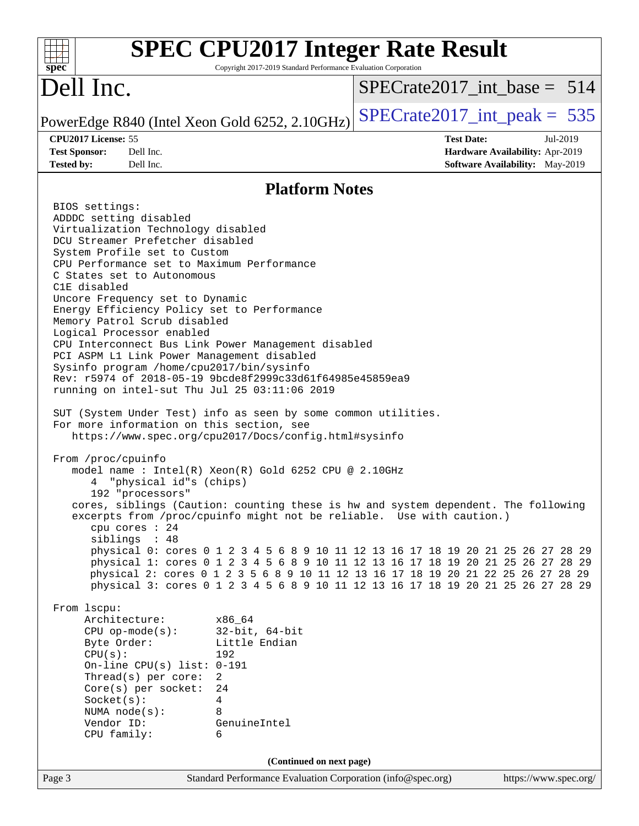| <b>SPEC CPU2017 Integer Rate Result</b><br>spec <sup>®</sup>                                                                                                                                                                                                                                                                                                                                                                                                                                                                                                                                                                                                                                                                                                                                                                                                                                                                                                                                                                                                                                                                                                                                                                                                                                                                                                                                                                                                                                                                                                                                                                                                                                                                                                                                                                            | Copyright 2017-2019 Standard Performance Evaluation Corporation |                                 |                                                                                                |                       |  |
|-----------------------------------------------------------------------------------------------------------------------------------------------------------------------------------------------------------------------------------------------------------------------------------------------------------------------------------------------------------------------------------------------------------------------------------------------------------------------------------------------------------------------------------------------------------------------------------------------------------------------------------------------------------------------------------------------------------------------------------------------------------------------------------------------------------------------------------------------------------------------------------------------------------------------------------------------------------------------------------------------------------------------------------------------------------------------------------------------------------------------------------------------------------------------------------------------------------------------------------------------------------------------------------------------------------------------------------------------------------------------------------------------------------------------------------------------------------------------------------------------------------------------------------------------------------------------------------------------------------------------------------------------------------------------------------------------------------------------------------------------------------------------------------------------------------------------------------------|-----------------------------------------------------------------|---------------------------------|------------------------------------------------------------------------------------------------|-----------------------|--|
| Dell Inc.                                                                                                                                                                                                                                                                                                                                                                                                                                                                                                                                                                                                                                                                                                                                                                                                                                                                                                                                                                                                                                                                                                                                                                                                                                                                                                                                                                                                                                                                                                                                                                                                                                                                                                                                                                                                                               |                                                                 | $SPECrate2017$ int base = 514   |                                                                                                |                       |  |
| PowerEdge R840 (Intel Xeon Gold 6252, 2.10GHz)                                                                                                                                                                                                                                                                                                                                                                                                                                                                                                                                                                                                                                                                                                                                                                                                                                                                                                                                                                                                                                                                                                                                                                                                                                                                                                                                                                                                                                                                                                                                                                                                                                                                                                                                                                                          |                                                                 | $SPECrate2017\_int\_peak = 535$ |                                                                                                |                       |  |
| CPU2017 License: 55<br>Dell Inc.<br><b>Test Sponsor:</b><br>Dell Inc.<br><b>Tested by:</b>                                                                                                                                                                                                                                                                                                                                                                                                                                                                                                                                                                                                                                                                                                                                                                                                                                                                                                                                                                                                                                                                                                                                                                                                                                                                                                                                                                                                                                                                                                                                                                                                                                                                                                                                              |                                                                 |                                 | <b>Test Date:</b><br><b>Hardware Availability: Apr-2019</b><br>Software Availability: May-2019 | Jul-2019              |  |
|                                                                                                                                                                                                                                                                                                                                                                                                                                                                                                                                                                                                                                                                                                                                                                                                                                                                                                                                                                                                                                                                                                                                                                                                                                                                                                                                                                                                                                                                                                                                                                                                                                                                                                                                                                                                                                         | <b>Platform Notes</b>                                           |                                 |                                                                                                |                       |  |
| BIOS settings:<br>ADDDC setting disabled<br>Virtualization Technology disabled<br>DCU Streamer Prefetcher disabled<br>System Profile set to Custom<br>CPU Performance set to Maximum Performance<br>C States set to Autonomous<br>C1E disabled<br>Uncore Frequency set to Dynamic<br>Energy Efficiency Policy set to Performance<br>Memory Patrol Scrub disabled<br>Logical Processor enabled<br>CPU Interconnect Bus Link Power Management disabled<br>PCI ASPM L1 Link Power Management disabled<br>Sysinfo program /home/cpu2017/bin/sysinfo<br>Rev: r5974 of 2018-05-19 9bcde8f2999c33d61f64985e45859ea9<br>running on intel-sut Thu Jul 25 03:11:06 2019<br>SUT (System Under Test) info as seen by some common utilities.<br>For more information on this section, see<br>https://www.spec.org/cpu2017/Docs/config.html#sysinfo<br>From /proc/cpuinfo<br>model name : Intel(R) Xeon(R) Gold 6252 CPU @ 2.10GHz<br>"physical id"s (chips)<br>4<br>192 "processors"<br>cores, siblings (Caution: counting these is hw and system dependent. The following<br>excerpts from /proc/cpuinfo might not be reliable. Use with caution.)<br>cpu cores : 24<br>siblings : 48<br>physical 0: cores 0 1 2 3 4 5 6 8 9 10 11 12 13 16 17 18 19 20 21 25 26 27 28 29<br>physical 1: cores 0 1 2 3 4 5 6 8 9 10 11 12 13 16 17 18 19 20 21 25 26 27 28 29<br>physical 2: cores 0 1 2 3 5 6 8 9 10 11 12 13 16 17 18 19 20 21 22 25 26 27 28 29<br>physical 3: cores 0 1 2 3 4 5 6 8 9 10 11 12 13 16 17 18 19 20 21 25 26 27 28 29<br>From 1scpu:<br>Architecture:<br>x86_64<br>$CPU$ op-mode( $s$ ):<br>Byte Order:<br>CPU(s):<br>192<br>On-line CPU(s) list: $0-191$<br>$\overline{2}$<br>Thread( $s$ ) per core:<br>$Core(s)$ per socket:<br>24<br>Socket(s):<br>4<br>NUMA $node(s):$<br>8<br>Vendor ID:<br>GenuineIntel<br>CPU family:<br>6 | $32$ -bit, $64$ -bit<br>Little Endian                           |                                 |                                                                                                |                       |  |
|                                                                                                                                                                                                                                                                                                                                                                                                                                                                                                                                                                                                                                                                                                                                                                                                                                                                                                                                                                                                                                                                                                                                                                                                                                                                                                                                                                                                                                                                                                                                                                                                                                                                                                                                                                                                                                         | (Continued on next page)                                        |                                 |                                                                                                |                       |  |
| Page 3                                                                                                                                                                                                                                                                                                                                                                                                                                                                                                                                                                                                                                                                                                                                                                                                                                                                                                                                                                                                                                                                                                                                                                                                                                                                                                                                                                                                                                                                                                                                                                                                                                                                                                                                                                                                                                  | Standard Performance Evaluation Corporation (info@spec.org)     |                                 |                                                                                                | https://www.spec.org/ |  |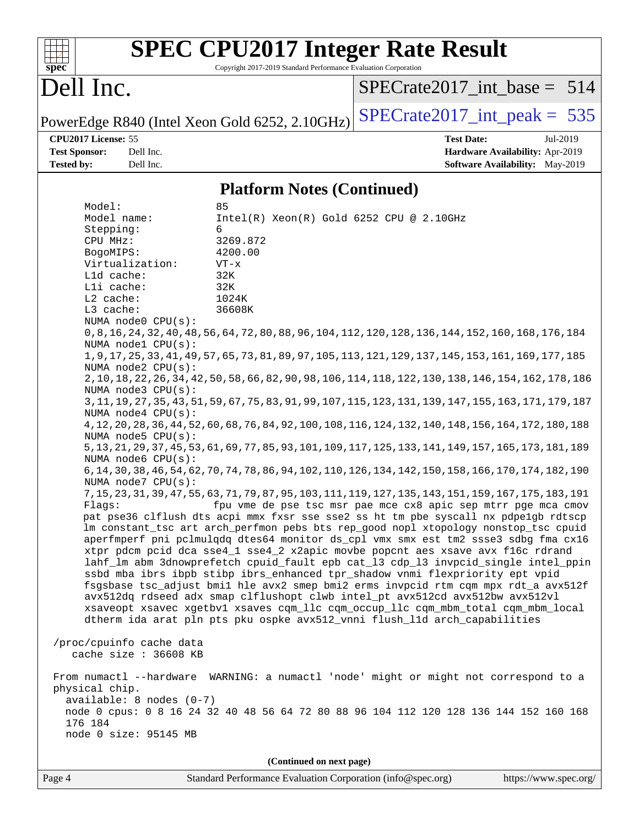| spec <sup>®</sup>                                                                                                                                          |                                                                                                                                                                                                                                                                                                                | <b>SPEC CPU2017 Integer Rate Result</b><br>Copyright 2017-2019 Standard Performance Evaluation Corporation                                                                                                                                                                                                                                                                                                                                                                         |                                                                                                                                                                                                                                                                                                                                                                                                                                                                                                                                                                                                                                                                                                                                                                                                                                                                                                                                                                                                                                                                                                                                                                                                                                                                                                                                                                                                                                                                                                                                                                                                                                                                    |
|------------------------------------------------------------------------------------------------------------------------------------------------------------|----------------------------------------------------------------------------------------------------------------------------------------------------------------------------------------------------------------------------------------------------------------------------------------------------------------|------------------------------------------------------------------------------------------------------------------------------------------------------------------------------------------------------------------------------------------------------------------------------------------------------------------------------------------------------------------------------------------------------------------------------------------------------------------------------------|--------------------------------------------------------------------------------------------------------------------------------------------------------------------------------------------------------------------------------------------------------------------------------------------------------------------------------------------------------------------------------------------------------------------------------------------------------------------------------------------------------------------------------------------------------------------------------------------------------------------------------------------------------------------------------------------------------------------------------------------------------------------------------------------------------------------------------------------------------------------------------------------------------------------------------------------------------------------------------------------------------------------------------------------------------------------------------------------------------------------------------------------------------------------------------------------------------------------------------------------------------------------------------------------------------------------------------------------------------------------------------------------------------------------------------------------------------------------------------------------------------------------------------------------------------------------------------------------------------------------------------------------------------------------|
| Dell Inc.                                                                                                                                                  |                                                                                                                                                                                                                                                                                                                |                                                                                                                                                                                                                                                                                                                                                                                                                                                                                    | $SPECrate2017$ int_base = 514                                                                                                                                                                                                                                                                                                                                                                                                                                                                                                                                                                                                                                                                                                                                                                                                                                                                                                                                                                                                                                                                                                                                                                                                                                                                                                                                                                                                                                                                                                                                                                                                                                      |
|                                                                                                                                                            |                                                                                                                                                                                                                                                                                                                | PowerEdge R840 (Intel Xeon Gold 6252, 2.10GHz)                                                                                                                                                                                                                                                                                                                                                                                                                                     | $SPECrate2017\_int\_peak = 535$                                                                                                                                                                                                                                                                                                                                                                                                                                                                                                                                                                                                                                                                                                                                                                                                                                                                                                                                                                                                                                                                                                                                                                                                                                                                                                                                                                                                                                                                                                                                                                                                                                    |
| CPU2017 License: 55<br><b>Test Sponsor:</b><br><b>Tested by:</b>                                                                                           | Dell Inc.<br>Dell Inc.                                                                                                                                                                                                                                                                                         |                                                                                                                                                                                                                                                                                                                                                                                                                                                                                    | <b>Test Date:</b><br>Jul-2019<br>Hardware Availability: Apr-2019<br><b>Software Availability:</b> May-2019                                                                                                                                                                                                                                                                                                                                                                                                                                                                                                                                                                                                                                                                                                                                                                                                                                                                                                                                                                                                                                                                                                                                                                                                                                                                                                                                                                                                                                                                                                                                                         |
|                                                                                                                                                            |                                                                                                                                                                                                                                                                                                                | <b>Platform Notes (Continued)</b>                                                                                                                                                                                                                                                                                                                                                                                                                                                  |                                                                                                                                                                                                                                                                                                                                                                                                                                                                                                                                                                                                                                                                                                                                                                                                                                                                                                                                                                                                                                                                                                                                                                                                                                                                                                                                                                                                                                                                                                                                                                                                                                                                    |
| Model:<br>Model name:<br>Stepping:<br>CPU MHz:<br>BogoMIPS:<br>L1d cache:<br>Lli cache:<br>$L2$ cache:<br>L3 cache:<br>Flaqs:<br>physical chip.<br>176 184 | Virtualization:<br>NUMA node0 CPU(s):<br>NUMA nodel CPU(s):<br>NUMA node2 CPU(s):<br>NUMA node3 CPU(s):<br>NUMA $node4$ $CPU(s)$ :<br>NUMA node5 CPU(s):<br>NUMA node6 CPU(s):<br>NUMA node7 CPU(s):<br>/proc/cpuinfo cache data<br>cache size : 36608 KB<br>available: 8 nodes (0-7)<br>node 0 size: 95145 MB | 85<br>Intel(R) Xeon(R) Gold 6252 CPU @ 2.10GHz<br>6<br>3269.872<br>4200.00<br>$VT - x$<br>32K<br>32K<br>1024K<br>36608K<br>xtpr pdcm pcid dca sse4_1 sse4_2 x2apic movbe popcnt aes xsave avx f16c rdrand<br>ssbd mba ibrs ibpb stibp ibrs_enhanced tpr_shadow vnmi flexpriority ept vpid<br>avx512dq rdseed adx smap clflushopt clwb intel_pt avx512cd avx512bw avx512vl<br>dtherm ida arat pln pts pku ospke avx512_vnni flush_lld arch_capabilities<br>(Continued on next page) | 0,8,16,168,176,188,176,189,176,189,104,112,120,128,124,152,160,168,176,184<br>1, 9, 17, 25, 33, 41, 49, 57, 65, 73, 81, 89, 97, 105, 113, 121, 129, 137, 145, 153, 161, 169, 177, 185<br>2, 10, 18, 22, 26, 34, 42, 50, 186, 114, 114, 118, 106, 109, 60, 58, 66, 58, 50, 58, 42, 50, 34, 162, 178, 178<br>3, 11, 19, 27, 35, 43, 51, 29, 107, 115, 123, 131, 131, 139, 87, 67, 67, 59, 51, 59, 51, 59, 57, 75, 83, 70, 1<br>4, 12, 20, 28, 36, 44, 52, 60, 68, 76, 84, 92, 100, 108, 116, 124, 132, 140, 148, 156, 164, 172, 180, 188<br>5, 13, 21, 29, 37, 45, 53, 61, 69, 77, 85, 93, 101, 109, 117, 125, 133, 141, 149, 157, 165, 173, 181, 189<br>6, 14, 30, 38, 46, 54, 62, 70, 74, 78, 86, 94, 102, 110, 126, 134, 142, 150, 158, 166, 170, 174, 182, 190<br>7, 15, 23, 31, 39, 47, 55, 63, 71, 79, 87, 95, 103, 111, 119, 127, 135, 143, 151, 159, 167, 175, 183, 191<br>fpu vme de pse tsc msr pae mce cx8 apic sep mtrr pge mca cmov<br>pat pse36 clflush dts acpi mmx fxsr sse sse2 ss ht tm pbe syscall nx pdpelgb rdtscp<br>lm constant_tsc art arch_perfmon pebs bts rep_good nopl xtopology nonstop_tsc cpuid<br>aperfmperf pni pclmulqdq dtes64 monitor ds_cpl vmx smx est tm2 ssse3 sdbg fma cx16<br>lahf_lm abm 3dnowprefetch cpuid_fault epb cat_13 cdp_13 invpcid_single intel_ppin<br>fsgsbase tsc_adjust bmil hle avx2 smep bmi2 erms invpcid rtm cqm mpx rdt_a avx512f<br>xsaveopt xsavec xgetbvl xsaves cqm_llc cqm_occup_llc cqm_mbm_total cqm_mbm_local<br>From numactl --hardware WARNING: a numactl 'node' might or might not correspond to a<br>node 0 cpus: 0 8 16 24 32 40 48 56 64 72 80 88 96 104 112 120 128 136 144 152 160 168 |
|                                                                                                                                                            |                                                                                                                                                                                                                                                                                                                |                                                                                                                                                                                                                                                                                                                                                                                                                                                                                    |                                                                                                                                                                                                                                                                                                                                                                                                                                                                                                                                                                                                                                                                                                                                                                                                                                                                                                                                                                                                                                                                                                                                                                                                                                                                                                                                                                                                                                                                                                                                                                                                                                                                    |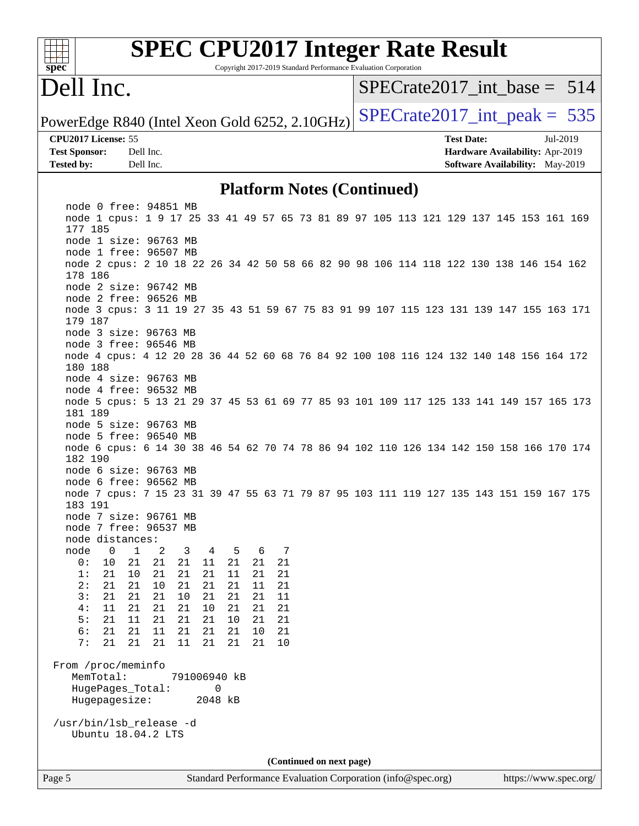| <b>SPEC CPU2017 Integer Rate Result</b><br>Copyright 2017-2019 Standard Performance Evaluation Corporation<br>$s\overline{pec}$                                                                                          |                                                                                                     |
|--------------------------------------------------------------------------------------------------------------------------------------------------------------------------------------------------------------------------|-----------------------------------------------------------------------------------------------------|
| Dell Inc.                                                                                                                                                                                                                | $SPECrate2017$ int base = 514                                                                       |
| PowerEdge R840 (Intel Xeon Gold 6252, 2.10GHz)                                                                                                                                                                           | $SPECrate2017\_int\_peak = 535$                                                                     |
| CPU2017 License: 55<br><b>Test Sponsor:</b><br>Dell Inc.<br>Dell Inc.<br><b>Tested by:</b>                                                                                                                               | <b>Test Date:</b><br>Jul-2019<br>Hardware Availability: Apr-2019<br>Software Availability: May-2019 |
| <b>Platform Notes (Continued)</b>                                                                                                                                                                                        |                                                                                                     |
| node 0 free: 94851 MB<br>node 1 cpus: 1 9 17 25 33 41 49 57 65 73 81 89 97 105 113 121 129 137 145 153 161 169<br>177 185<br>node 1 size: 96763 MB                                                                       |                                                                                                     |
| node 1 free: 96507 MB<br>node 2 cpus: 2 10 18 22 26 34 42 50 58 66 82 90 98 106 114 118 122 130 138 146 154 162<br>178 186<br>node 2 size: 96742 MB                                                                      |                                                                                                     |
| node 2 free: 96526 MB<br>node 3 cpus: 3 11 19 27 35 43 51 59 67 75 83 91 99 107 115 123 131 139 147 155 163 171<br>179 187<br>node 3 size: 96763 MB                                                                      |                                                                                                     |
| node 3 free: 96546 MB<br>node 4 cpus: 4 12 20 28 36 44 52 60 68 76 84 92 100 108 116 124 132 140 148 156 164 172<br>180 188<br>node 4 size: 96763 MB                                                                     |                                                                                                     |
| node 4 free: 96532 MB<br>node 5 cpus: 5 13 21 29 37 45 53 61 69 77 85 93 101 109 117 125 133 141 149 157 165 173<br>181 189<br>node 5 size: 96763 MB                                                                     |                                                                                                     |
| node 5 free: 96540 MB<br>node 6 cpus: 6 14 30 38 46 54 62 70 74 78 86 94 102 110 126 134 142 150 158 166 170 174<br>182 190                                                                                              |                                                                                                     |
| node 6 size: 96763 MB<br>node 6 free: 96562 MB<br>node 7 cpus: 7 15 23 31 39 47 55 63 71 79 87 95 103 111 119 127 135 143 151 159 167 175<br>183 191                                                                     |                                                                                                     |
| node 7 size: 96761 MB<br>node 7 free: 96537 MB<br>node distances:<br>node<br>$\mathbf 0$<br>$\mathbf 1$<br>2<br>3<br>4<br>5<br>6<br>7                                                                                    |                                                                                                     |
| 21<br>21<br>0:<br>10<br>21<br>21<br>11<br>21<br>21<br>1:<br>21<br>21<br>21<br>21<br>11<br>21<br>10<br>21<br>21<br>2:<br>21<br>10<br>21<br>21<br>21<br>11<br>21<br>3:<br>21<br>21<br>21<br>10<br>21<br>21<br>11<br>21     |                                                                                                     |
| 21<br>21<br>21<br>21<br>21<br>4 :<br>11<br>10<br>21<br>$10$<br>5 :<br>21<br>11<br>21<br>21<br>21<br>21<br>21<br>6:<br>11<br>21<br>21<br>21<br>21<br>21<br>10<br>21<br>7:<br>21<br>21<br>21<br>11<br>21<br>21<br>21<br>10 |                                                                                                     |
| From /proc/meminfo<br>MemTotal:<br>791006940 kB<br>HugePages_Total:<br>0<br>Hugepagesize:<br>2048 kB                                                                                                                     |                                                                                                     |
| /usr/bin/lsb_release -d<br>Ubuntu 18.04.2 LTS                                                                                                                                                                            |                                                                                                     |
| (Continued on next page)                                                                                                                                                                                                 |                                                                                                     |
| Standard Performance Evaluation Corporation (info@spec.org)<br>Page 5                                                                                                                                                    | https://www.spec.org/                                                                               |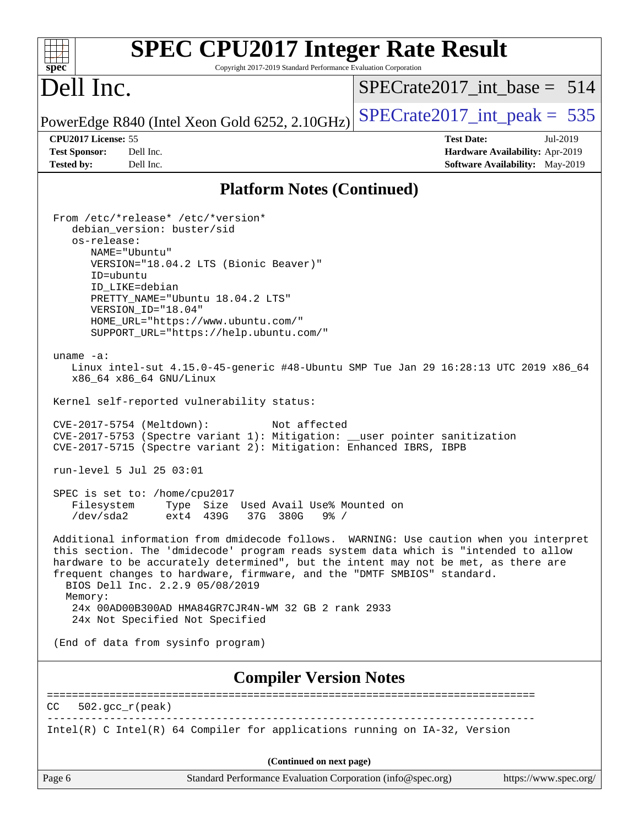| <b>SPEC CPU2017 Integer Rate Result</b><br>Spec<br>Copyright 2017-2019 Standard Performance Evaluation Corporation                                                                                                                                                                                                                                                                                                                                                                                                                                                                                                                                                                                                                                                                                                                                                                                                                                                                                                                                                                                                                                                                                                                                                                                                                                                                                                            |                                 |
|-------------------------------------------------------------------------------------------------------------------------------------------------------------------------------------------------------------------------------------------------------------------------------------------------------------------------------------------------------------------------------------------------------------------------------------------------------------------------------------------------------------------------------------------------------------------------------------------------------------------------------------------------------------------------------------------------------------------------------------------------------------------------------------------------------------------------------------------------------------------------------------------------------------------------------------------------------------------------------------------------------------------------------------------------------------------------------------------------------------------------------------------------------------------------------------------------------------------------------------------------------------------------------------------------------------------------------------------------------------------------------------------------------------------------------|---------------------------------|
| Dell Inc.                                                                                                                                                                                                                                                                                                                                                                                                                                                                                                                                                                                                                                                                                                                                                                                                                                                                                                                                                                                                                                                                                                                                                                                                                                                                                                                                                                                                                     | SPECrate2017 int base = $514$   |
| PowerEdge R840 (Intel Xeon Gold 6252, 2.10GHz)                                                                                                                                                                                                                                                                                                                                                                                                                                                                                                                                                                                                                                                                                                                                                                                                                                                                                                                                                                                                                                                                                                                                                                                                                                                                                                                                                                                | $SPECrate2017\_int\_peak = 535$ |
| CPU2017 License: 55                                                                                                                                                                                                                                                                                                                                                                                                                                                                                                                                                                                                                                                                                                                                                                                                                                                                                                                                                                                                                                                                                                                                                                                                                                                                                                                                                                                                           | <b>Test Date:</b><br>Jul-2019   |
| <b>Test Sponsor:</b><br>Dell Inc.                                                                                                                                                                                                                                                                                                                                                                                                                                                                                                                                                                                                                                                                                                                                                                                                                                                                                                                                                                                                                                                                                                                                                                                                                                                                                                                                                                                             | Hardware Availability: Apr-2019 |
| <b>Tested by:</b><br>Dell Inc.                                                                                                                                                                                                                                                                                                                                                                                                                                                                                                                                                                                                                                                                                                                                                                                                                                                                                                                                                                                                                                                                                                                                                                                                                                                                                                                                                                                                | Software Availability: May-2019 |
| <b>Platform Notes (Continued)</b>                                                                                                                                                                                                                                                                                                                                                                                                                                                                                                                                                                                                                                                                                                                                                                                                                                                                                                                                                                                                                                                                                                                                                                                                                                                                                                                                                                                             |                                 |
| From /etc/*release* /etc/*version*<br>debian_version: buster/sid<br>os-release:<br>NAME="Ubuntu"<br>VERSION="18.04.2 LTS (Bionic Beaver)"<br>ID=ubuntu<br>ID_LIKE=debian<br>PRETTY_NAME="Ubuntu 18.04.2 LTS"<br>VERSION_ID="18.04"<br>HOME_URL="https://www.ubuntu.com/"<br>SUPPORT_URL="https://help.ubuntu.com/"<br>uname $-a$ :<br>Linux intel-sut 4.15.0-45-generic #48-Ubuntu SMP Tue Jan 29 16:28:13 UTC 2019 x86_64<br>x86_64 x86_64 GNU/Linux<br>Kernel self-reported vulnerability status:<br>CVE-2017-5754 (Meltdown):<br>Not affected<br>CVE-2017-5753 (Spectre variant 1): Mitigation: __user pointer sanitization<br>CVE-2017-5715 (Spectre variant 2): Mitigation: Enhanced IBRS, IBPB<br>run-level 5 Jul 25 03:01<br>SPEC is set to: /home/cpu2017<br>Type Size Used Avail Use% Mounted on<br>Filesystem<br>$/\text{dev/sda2}$<br>ext4 439G<br>37G<br>380G<br>$9\frac{6}{9}$ /<br>Additional information from dmidecode follows. WARNING: Use caution when you interpret<br>this section. The 'dmidecode' program reads system data which is "intended to allow<br>hardware to be accurately determined", but the intent may not be met, as there are<br>frequent changes to hardware, firmware, and the "DMTF SMBIOS" standard.<br>BIOS Dell Inc. 2.2.9 05/08/2019<br>Memory:<br>24x 00AD00B300AD HMA84GR7CJR4N-WM 32 GB 2 rank 2933<br>24x Not Specified Not Specified<br>(End of data from sysinfo program) |                                 |
|                                                                                                                                                                                                                                                                                                                                                                                                                                                                                                                                                                                                                                                                                                                                                                                                                                                                                                                                                                                                                                                                                                                                                                                                                                                                                                                                                                                                                               |                                 |
| <b>Compiler Version Notes</b>                                                                                                                                                                                                                                                                                                                                                                                                                                                                                                                                                                                                                                                                                                                                                                                                                                                                                                                                                                                                                                                                                                                                                                                                                                                                                                                                                                                                 |                                 |
| CC<br>$502.\text{qcc }r(\text{peak})$                                                                                                                                                                                                                                                                                                                                                                                                                                                                                                                                                                                                                                                                                                                                                                                                                                                                                                                                                                                                                                                                                                                                                                                                                                                                                                                                                                                         |                                 |
| Intel(R) C Intel(R) 64 Compiler for applications running on IA-32, Version                                                                                                                                                                                                                                                                                                                                                                                                                                                                                                                                                                                                                                                                                                                                                                                                                                                                                                                                                                                                                                                                                                                                                                                                                                                                                                                                                    |                                 |
| (Continued on next page)                                                                                                                                                                                                                                                                                                                                                                                                                                                                                                                                                                                                                                                                                                                                                                                                                                                                                                                                                                                                                                                                                                                                                                                                                                                                                                                                                                                                      |                                 |
| Page 6<br>Standard Performance Evaluation Corporation (info@spec.org)                                                                                                                                                                                                                                                                                                                                                                                                                                                                                                                                                                                                                                                                                                                                                                                                                                                                                                                                                                                                                                                                                                                                                                                                                                                                                                                                                         | https://www.spec.org/           |
|                                                                                                                                                                                                                                                                                                                                                                                                                                                                                                                                                                                                                                                                                                                                                                                                                                                                                                                                                                                                                                                                                                                                                                                                                                                                                                                                                                                                                               |                                 |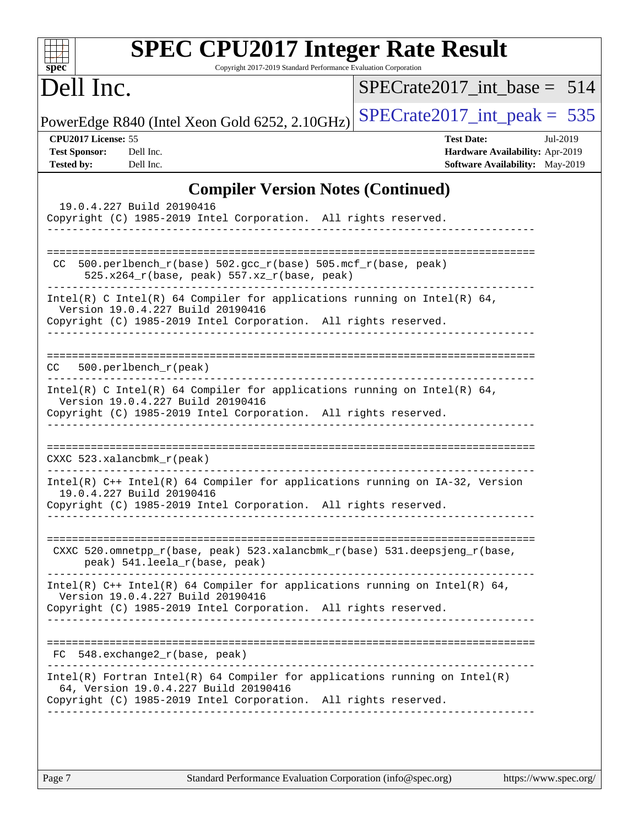| spec <sup>®</sup>                                                                                                                               |                                                                                                            | <b>SPEC CPU2017 Integer Rate Result</b> |                                           |  | Copyright 2017-2019 Standard Performance Evaluation Corporation |  |  |                   |  |                                                                    |                                 |
|-------------------------------------------------------------------------------------------------------------------------------------------------|------------------------------------------------------------------------------------------------------------|-----------------------------------------|-------------------------------------------|--|-----------------------------------------------------------------|--|--|-------------------|--|--------------------------------------------------------------------|---------------------------------|
| Dell Inc.                                                                                                                                       |                                                                                                            |                                         |                                           |  |                                                                 |  |  |                   |  |                                                                    | $SPECrate2017$ int base = 514   |
| PowerEdge R840 (Intel Xeon Gold 6252, 2.10GHz)                                                                                                  |                                                                                                            |                                         |                                           |  |                                                                 |  |  |                   |  |                                                                    | $SPECTate2017\_int\_peak = 535$ |
| CPU2017 License: 55<br><b>Test Sponsor:</b><br><b>Tested by:</b>                                                                                | Dell Inc.<br>Dell Inc.                                                                                     |                                         |                                           |  |                                                                 |  |  | <b>Test Date:</b> |  | Hardware Availability: Apr-2019<br>Software Availability: May-2019 | Jul-2019                        |
|                                                                                                                                                 |                                                                                                            |                                         | <b>Compiler Version Notes (Continued)</b> |  |                                                                 |  |  |                   |  |                                                                    |                                 |
| Copyright (C) 1985-2019 Intel Corporation. All rights reserved.                                                                                 | 19.0.4.227 Build 20190416                                                                                  |                                         |                                           |  |                                                                 |  |  |                   |  |                                                                    |                                 |
| CC.                                                                                                                                             | 500.perlbench_r(base) 502.gcc_r(base) 505.mcf_r(base, peak)<br>525.x264_r(base, peak) 557.xz_r(base, peak) |                                         |                                           |  |                                                                 |  |  |                   |  |                                                                    |                                 |
| Intel(R) C Intel(R) 64 Compiler for applications running on Intel(R) 64,<br>Copyright (C) 1985-2019 Intel Corporation. All rights reserved.     | Version 19.0.4.227 Build 20190416                                                                          |                                         |                                           |  |                                                                 |  |  |                   |  |                                                                    |                                 |
| CC.                                                                                                                                             | 500.perlbench_r(peak)                                                                                      |                                         |                                           |  |                                                                 |  |  |                   |  |                                                                    |                                 |
| $Intel(R)$ C Intel(R) 64 Compiler for applications running on Intel(R) 64,<br>Copyright (C) 1985-2019 Intel Corporation. All rights reserved.   | Version 19.0.4.227 Build 20190416                                                                          |                                         |                                           |  |                                                                 |  |  |                   |  |                                                                    |                                 |
| CXXC 523.xalancbmk_r(peak)                                                                                                                      |                                                                                                            |                                         |                                           |  |                                                                 |  |  |                   |  |                                                                    |                                 |
| Intel(R) C++ Intel(R) 64 Compiler for applications running on IA-32, Version<br>Copyright (C) 1985-2019 Intel Corporation. All rights reserved. | 19.0.4.227 Build 20190416                                                                                  |                                         |                                           |  |                                                                 |  |  |                   |  |                                                                    |                                 |
| CXXC 520.omnetpp_r(base, peak) 523.xalancbmk_r(base) 531.deepsjeng_r(base,                                                                      | peak) 541.leela_r(base, peak)                                                                              |                                         |                                           |  |                                                                 |  |  |                   |  |                                                                    |                                 |
| Intel(R) C++ Intel(R) 64 Compiler for applications running on Intel(R) 64,<br>Copyright (C) 1985-2019 Intel Corporation. All rights reserved.   | Version 19.0.4.227 Build 20190416                                                                          |                                         |                                           |  |                                                                 |  |  |                   |  |                                                                    |                                 |
| FC 548.exchange2_r(base, peak)                                                                                                                  |                                                                                                            |                                         |                                           |  |                                                                 |  |  |                   |  |                                                                    |                                 |
| $Intel(R)$ Fortran Intel(R) 64 Compiler for applications running on Intel(R)<br>Copyright (C) 1985-2019 Intel Corporation. All rights reserved. | 64, Version 19.0.4.227 Build 20190416                                                                      |                                         |                                           |  | _____________________                                           |  |  |                   |  |                                                                    |                                 |
|                                                                                                                                                 |                                                                                                            |                                         |                                           |  |                                                                 |  |  |                   |  |                                                                    |                                 |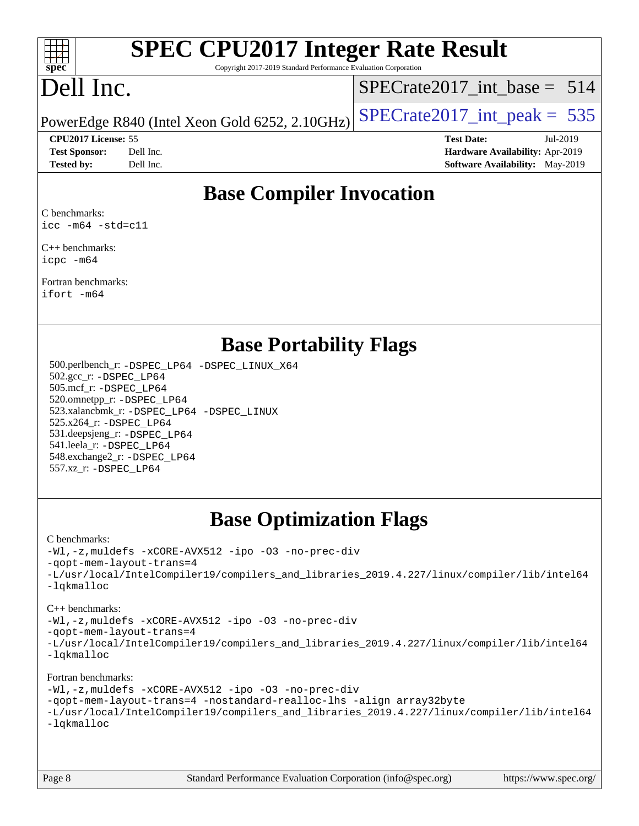

# **[SPEC CPU2017 Integer Rate Result](http://www.spec.org/auto/cpu2017/Docs/result-fields.html#SPECCPU2017IntegerRateResult)**

Copyright 2017-2019 Standard Performance Evaluation Corporation

## Dell Inc.

[SPECrate2017\\_int\\_base =](http://www.spec.org/auto/cpu2017/Docs/result-fields.html#SPECrate2017intbase) 514

PowerEdge R840 (Intel Xeon Gold 6252, 2.10GHz)  $\text{SPECrate}$  2017\_int\_peak = 535

**[Tested by:](http://www.spec.org/auto/cpu2017/Docs/result-fields.html#Testedby)** Dell Inc. **[Software Availability:](http://www.spec.org/auto/cpu2017/Docs/result-fields.html#SoftwareAvailability)** May-2019

**[CPU2017 License:](http://www.spec.org/auto/cpu2017/Docs/result-fields.html#CPU2017License)** 55 **[Test Date:](http://www.spec.org/auto/cpu2017/Docs/result-fields.html#TestDate)** Jul-2019 **[Test Sponsor:](http://www.spec.org/auto/cpu2017/Docs/result-fields.html#TestSponsor)** Dell Inc. **[Hardware Availability:](http://www.spec.org/auto/cpu2017/Docs/result-fields.html#HardwareAvailability)** Apr-2019

## **[Base Compiler Invocation](http://www.spec.org/auto/cpu2017/Docs/result-fields.html#BaseCompilerInvocation)**

[C benchmarks](http://www.spec.org/auto/cpu2017/Docs/result-fields.html#Cbenchmarks): [icc -m64 -std=c11](http://www.spec.org/cpu2017/results/res2019q3/cpu2017-20190805-16474.flags.html#user_CCbase_intel_icc_64bit_c11_33ee0cdaae7deeeab2a9725423ba97205ce30f63b9926c2519791662299b76a0318f32ddfffdc46587804de3178b4f9328c46fa7c2b0cd779d7a61945c91cd35)

[C++ benchmarks:](http://www.spec.org/auto/cpu2017/Docs/result-fields.html#CXXbenchmarks) [icpc -m64](http://www.spec.org/cpu2017/results/res2019q3/cpu2017-20190805-16474.flags.html#user_CXXbase_intel_icpc_64bit_4ecb2543ae3f1412ef961e0650ca070fec7b7afdcd6ed48761b84423119d1bf6bdf5cad15b44d48e7256388bc77273b966e5eb805aefd121eb22e9299b2ec9d9)

[Fortran benchmarks](http://www.spec.org/auto/cpu2017/Docs/result-fields.html#Fortranbenchmarks): [ifort -m64](http://www.spec.org/cpu2017/results/res2019q3/cpu2017-20190805-16474.flags.html#user_FCbase_intel_ifort_64bit_24f2bb282fbaeffd6157abe4f878425411749daecae9a33200eee2bee2fe76f3b89351d69a8130dd5949958ce389cf37ff59a95e7a40d588e8d3a57e0c3fd751)

### **[Base Portability Flags](http://www.spec.org/auto/cpu2017/Docs/result-fields.html#BasePortabilityFlags)**

 500.perlbench\_r: [-DSPEC\\_LP64](http://www.spec.org/cpu2017/results/res2019q3/cpu2017-20190805-16474.flags.html#b500.perlbench_r_basePORTABILITY_DSPEC_LP64) [-DSPEC\\_LINUX\\_X64](http://www.spec.org/cpu2017/results/res2019q3/cpu2017-20190805-16474.flags.html#b500.perlbench_r_baseCPORTABILITY_DSPEC_LINUX_X64) 502.gcc\_r: [-DSPEC\\_LP64](http://www.spec.org/cpu2017/results/res2019q3/cpu2017-20190805-16474.flags.html#suite_basePORTABILITY502_gcc_r_DSPEC_LP64) 505.mcf\_r: [-DSPEC\\_LP64](http://www.spec.org/cpu2017/results/res2019q3/cpu2017-20190805-16474.flags.html#suite_basePORTABILITY505_mcf_r_DSPEC_LP64) 520.omnetpp\_r: [-DSPEC\\_LP64](http://www.spec.org/cpu2017/results/res2019q3/cpu2017-20190805-16474.flags.html#suite_basePORTABILITY520_omnetpp_r_DSPEC_LP64) 523.xalancbmk\_r: [-DSPEC\\_LP64](http://www.spec.org/cpu2017/results/res2019q3/cpu2017-20190805-16474.flags.html#suite_basePORTABILITY523_xalancbmk_r_DSPEC_LP64) [-DSPEC\\_LINUX](http://www.spec.org/cpu2017/results/res2019q3/cpu2017-20190805-16474.flags.html#b523.xalancbmk_r_baseCXXPORTABILITY_DSPEC_LINUX) 525.x264\_r: [-DSPEC\\_LP64](http://www.spec.org/cpu2017/results/res2019q3/cpu2017-20190805-16474.flags.html#suite_basePORTABILITY525_x264_r_DSPEC_LP64) 531.deepsjeng\_r: [-DSPEC\\_LP64](http://www.spec.org/cpu2017/results/res2019q3/cpu2017-20190805-16474.flags.html#suite_basePORTABILITY531_deepsjeng_r_DSPEC_LP64) 541.leela\_r: [-DSPEC\\_LP64](http://www.spec.org/cpu2017/results/res2019q3/cpu2017-20190805-16474.flags.html#suite_basePORTABILITY541_leela_r_DSPEC_LP64) 548.exchange2\_r: [-DSPEC\\_LP64](http://www.spec.org/cpu2017/results/res2019q3/cpu2017-20190805-16474.flags.html#suite_basePORTABILITY548_exchange2_r_DSPEC_LP64) 557.xz\_r: [-DSPEC\\_LP64](http://www.spec.org/cpu2017/results/res2019q3/cpu2017-20190805-16474.flags.html#suite_basePORTABILITY557_xz_r_DSPEC_LP64)

## **[Base Optimization Flags](http://www.spec.org/auto/cpu2017/Docs/result-fields.html#BaseOptimizationFlags)**

#### [C benchmarks](http://www.spec.org/auto/cpu2017/Docs/result-fields.html#Cbenchmarks):

[-Wl,-z,muldefs](http://www.spec.org/cpu2017/results/res2019q3/cpu2017-20190805-16474.flags.html#user_CCbase_link_force_multiple1_b4cbdb97b34bdee9ceefcfe54f4c8ea74255f0b02a4b23e853cdb0e18eb4525ac79b5a88067c842dd0ee6996c24547a27a4b99331201badda8798ef8a743f577) [-xCORE-AVX512](http://www.spec.org/cpu2017/results/res2019q3/cpu2017-20190805-16474.flags.html#user_CCbase_f-xCORE-AVX512) [-ipo](http://www.spec.org/cpu2017/results/res2019q3/cpu2017-20190805-16474.flags.html#user_CCbase_f-ipo) [-O3](http://www.spec.org/cpu2017/results/res2019q3/cpu2017-20190805-16474.flags.html#user_CCbase_f-O3) [-no-prec-div](http://www.spec.org/cpu2017/results/res2019q3/cpu2017-20190805-16474.flags.html#user_CCbase_f-no-prec-div) [-qopt-mem-layout-trans=4](http://www.spec.org/cpu2017/results/res2019q3/cpu2017-20190805-16474.flags.html#user_CCbase_f-qopt-mem-layout-trans_fa39e755916c150a61361b7846f310bcdf6f04e385ef281cadf3647acec3f0ae266d1a1d22d972a7087a248fd4e6ca390a3634700869573d231a252c784941a8) [-L/usr/local/IntelCompiler19/compilers\\_and\\_libraries\\_2019.4.227/linux/compiler/lib/intel64](http://www.spec.org/cpu2017/results/res2019q3/cpu2017-20190805-16474.flags.html#user_CCbase_qkmalloc_link_0ffe0cb02c68ef1b443a077c7888c10c67ca0d1dd7138472156f06a085bbad385f78d49618ad55dca9db3b1608e84afc2f69b4003b1d1ca498a9fc1462ccefda) [-lqkmalloc](http://www.spec.org/cpu2017/results/res2019q3/cpu2017-20190805-16474.flags.html#user_CCbase_qkmalloc_link_lib_79a818439969f771c6bc311cfd333c00fc099dad35c030f5aab9dda831713d2015205805422f83de8875488a2991c0a156aaa600e1f9138f8fc37004abc96dc5)

#### [C++ benchmarks](http://www.spec.org/auto/cpu2017/Docs/result-fields.html#CXXbenchmarks):

[-Wl,-z,muldefs](http://www.spec.org/cpu2017/results/res2019q3/cpu2017-20190805-16474.flags.html#user_CXXbase_link_force_multiple1_b4cbdb97b34bdee9ceefcfe54f4c8ea74255f0b02a4b23e853cdb0e18eb4525ac79b5a88067c842dd0ee6996c24547a27a4b99331201badda8798ef8a743f577) [-xCORE-AVX512](http://www.spec.org/cpu2017/results/res2019q3/cpu2017-20190805-16474.flags.html#user_CXXbase_f-xCORE-AVX512) [-ipo](http://www.spec.org/cpu2017/results/res2019q3/cpu2017-20190805-16474.flags.html#user_CXXbase_f-ipo) [-O3](http://www.spec.org/cpu2017/results/res2019q3/cpu2017-20190805-16474.flags.html#user_CXXbase_f-O3) [-no-prec-div](http://www.spec.org/cpu2017/results/res2019q3/cpu2017-20190805-16474.flags.html#user_CXXbase_f-no-prec-div)

[-qopt-mem-layout-trans=4](http://www.spec.org/cpu2017/results/res2019q3/cpu2017-20190805-16474.flags.html#user_CXXbase_f-qopt-mem-layout-trans_fa39e755916c150a61361b7846f310bcdf6f04e385ef281cadf3647acec3f0ae266d1a1d22d972a7087a248fd4e6ca390a3634700869573d231a252c784941a8)

[-L/usr/local/IntelCompiler19/compilers\\_and\\_libraries\\_2019.4.227/linux/compiler/lib/intel64](http://www.spec.org/cpu2017/results/res2019q3/cpu2017-20190805-16474.flags.html#user_CXXbase_qkmalloc_link_0ffe0cb02c68ef1b443a077c7888c10c67ca0d1dd7138472156f06a085bbad385f78d49618ad55dca9db3b1608e84afc2f69b4003b1d1ca498a9fc1462ccefda) [-lqkmalloc](http://www.spec.org/cpu2017/results/res2019q3/cpu2017-20190805-16474.flags.html#user_CXXbase_qkmalloc_link_lib_79a818439969f771c6bc311cfd333c00fc099dad35c030f5aab9dda831713d2015205805422f83de8875488a2991c0a156aaa600e1f9138f8fc37004abc96dc5)

#### [Fortran benchmarks](http://www.spec.org/auto/cpu2017/Docs/result-fields.html#Fortranbenchmarks):

[-Wl,-z,muldefs](http://www.spec.org/cpu2017/results/res2019q3/cpu2017-20190805-16474.flags.html#user_FCbase_link_force_multiple1_b4cbdb97b34bdee9ceefcfe54f4c8ea74255f0b02a4b23e853cdb0e18eb4525ac79b5a88067c842dd0ee6996c24547a27a4b99331201badda8798ef8a743f577) [-xCORE-AVX512](http://www.spec.org/cpu2017/results/res2019q3/cpu2017-20190805-16474.flags.html#user_FCbase_f-xCORE-AVX512) [-ipo](http://www.spec.org/cpu2017/results/res2019q3/cpu2017-20190805-16474.flags.html#user_FCbase_f-ipo) [-O3](http://www.spec.org/cpu2017/results/res2019q3/cpu2017-20190805-16474.flags.html#user_FCbase_f-O3) [-no-prec-div](http://www.spec.org/cpu2017/results/res2019q3/cpu2017-20190805-16474.flags.html#user_FCbase_f-no-prec-div) [-qopt-mem-layout-trans=4](http://www.spec.org/cpu2017/results/res2019q3/cpu2017-20190805-16474.flags.html#user_FCbase_f-qopt-mem-layout-trans_fa39e755916c150a61361b7846f310bcdf6f04e385ef281cadf3647acec3f0ae266d1a1d22d972a7087a248fd4e6ca390a3634700869573d231a252c784941a8) [-nostandard-realloc-lhs](http://www.spec.org/cpu2017/results/res2019q3/cpu2017-20190805-16474.flags.html#user_FCbase_f_2003_std_realloc_82b4557e90729c0f113870c07e44d33d6f5a304b4f63d4c15d2d0f1fab99f5daaed73bdb9275d9ae411527f28b936061aa8b9c8f2d63842963b95c9dd6426b8a) [-align array32byte](http://www.spec.org/cpu2017/results/res2019q3/cpu2017-20190805-16474.flags.html#user_FCbase_align_array32byte_b982fe038af199962ba9a80c053b8342c548c85b40b8e86eb3cc33dee0d7986a4af373ac2d51c3f7cf710a18d62fdce2948f201cd044323541f22fc0fffc51b6) [-L/usr/local/IntelCompiler19/compilers\\_and\\_libraries\\_2019.4.227/linux/compiler/lib/intel64](http://www.spec.org/cpu2017/results/res2019q3/cpu2017-20190805-16474.flags.html#user_FCbase_qkmalloc_link_0ffe0cb02c68ef1b443a077c7888c10c67ca0d1dd7138472156f06a085bbad385f78d49618ad55dca9db3b1608e84afc2f69b4003b1d1ca498a9fc1462ccefda) [-lqkmalloc](http://www.spec.org/cpu2017/results/res2019q3/cpu2017-20190805-16474.flags.html#user_FCbase_qkmalloc_link_lib_79a818439969f771c6bc311cfd333c00fc099dad35c030f5aab9dda831713d2015205805422f83de8875488a2991c0a156aaa600e1f9138f8fc37004abc96dc5)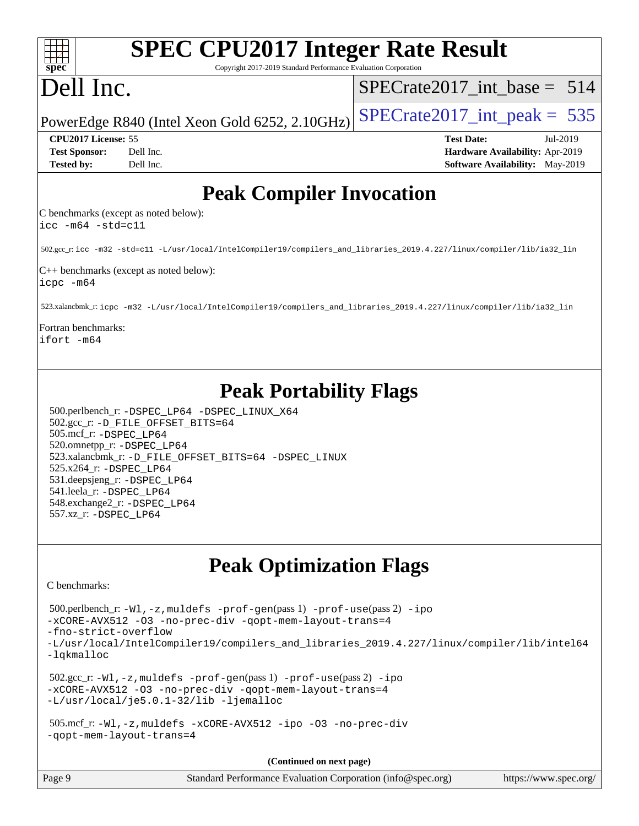| <b>SPEC CPU2017 Integer Rate Result</b>                                                                                                                                                                                                                                                                                                                                             |                                                                  |
|-------------------------------------------------------------------------------------------------------------------------------------------------------------------------------------------------------------------------------------------------------------------------------------------------------------------------------------------------------------------------------------|------------------------------------------------------------------|
| Copyright 2017-2019 Standard Performance Evaluation Corporation<br>spec <sup>®</sup><br>Dell Inc.                                                                                                                                                                                                                                                                                   | $SPECrate2017\_int\_base = 514$                                  |
| PowerEdge R840 (Intel Xeon Gold 6252, 2.10GHz)                                                                                                                                                                                                                                                                                                                                      | $SPECrate2017\_int\_peak = 535$                                  |
| CPU2017 License: 55<br><b>Test Sponsor:</b><br>Dell Inc.                                                                                                                                                                                                                                                                                                                            | <b>Test Date:</b><br>Jul-2019<br>Hardware Availability: Apr-2019 |
| Dell Inc.<br><b>Tested by:</b>                                                                                                                                                                                                                                                                                                                                                      | <b>Software Availability:</b> May-2019                           |
| <b>Peak Compiler Invocation</b>                                                                                                                                                                                                                                                                                                                                                     |                                                                  |
| C benchmarks (except as noted below):<br>$\text{icc -m64 -std=c11}$                                                                                                                                                                                                                                                                                                                 |                                                                  |
| 502.gcc_r: icc -m32 -std=c11 -L/usr/local/IntelCompiler19/compilers_and_libraries_2019.4.227/linux/compiler/lib/ia32_lin                                                                                                                                                                                                                                                            |                                                                  |
| $C++$ benchmarks (except as noted below):<br>icpc -m64                                                                                                                                                                                                                                                                                                                              |                                                                  |
| 523.xalancbmk_r: icpc -m32 -L/usr/local/IntelCompiler19/compilers_and_libraries_2019.4.227/linux/compiler/lib/ia32_lin                                                                                                                                                                                                                                                              |                                                                  |
| Fortran benchmarks:<br>lifort -m64                                                                                                                                                                                                                                                                                                                                                  |                                                                  |
| <b>Peak Portability Flags</b><br>500.perlbench_r: -DSPEC_LP64 -DSPEC_LINUX_X64<br>502.gcc_r: -D_FILE_OFFSET_BITS=64<br>505.mcf_r: -DSPEC_LP64<br>520.omnetpp_r: -DSPEC_LP64<br>523.xalancbmk_r: -D_FILE_OFFSET_BITS=64 -DSPEC_LINUX<br>525.x264_r: -DSPEC_LP64<br>531.deepsjeng_r: -DSPEC_LP64<br>541.leela_r: -DSPEC_LP64<br>548.exchange2_r: -DSPEC LP64<br>557.xz_r: -DSPEC LP64 |                                                                  |
| <b>Peak Optimization Flags</b>                                                                                                                                                                                                                                                                                                                                                      |                                                                  |
| C benchmarks:                                                                                                                                                                                                                                                                                                                                                                       |                                                                  |
| $500.\text{perlbench_r: } -W1, -z, \text{muldefs } -\text{prof-gen(pass 1)} -\text{prof-use(pass 2)} -\text{ipo}$<br>-xCORE-AVX512 -03 -no-prec-div -qopt-mem-layout-trans=4<br>-fno-strict-overflow                                                                                                                                                                                |                                                                  |
| -L/usr/local/IntelCompiler19/compilers_and_libraries_2019.4.227/linux/compiler/lib/intel64<br>-lqkmalloc                                                                                                                                                                                                                                                                            |                                                                  |
| $502.\text{sec\_r: } -W1$ , $-z$ , muldefs $-prof-gen(pass1)$ $-prof-use(pass2)$ $-ipo$<br>-xCORE-AVX512 -03 -no-prec-div -qopt-mem-layout-trans=4<br>-L/usr/local/je5.0.1-32/lib -ljemalloc                                                                                                                                                                                        |                                                                  |
| $505.\text{mcf_r: -W1, -z, multdefs -xCORE-AVX512 -ipo -03 -no-prec-div}$<br>-gopt-mem-layout-trans=4                                                                                                                                                                                                                                                                               |                                                                  |
| (Continued on next page)                                                                                                                                                                                                                                                                                                                                                            |                                                                  |
| Page 9<br>Standard Performance Evaluation Corporation (info@spec.org)                                                                                                                                                                                                                                                                                                               | https://www.spec.org/                                            |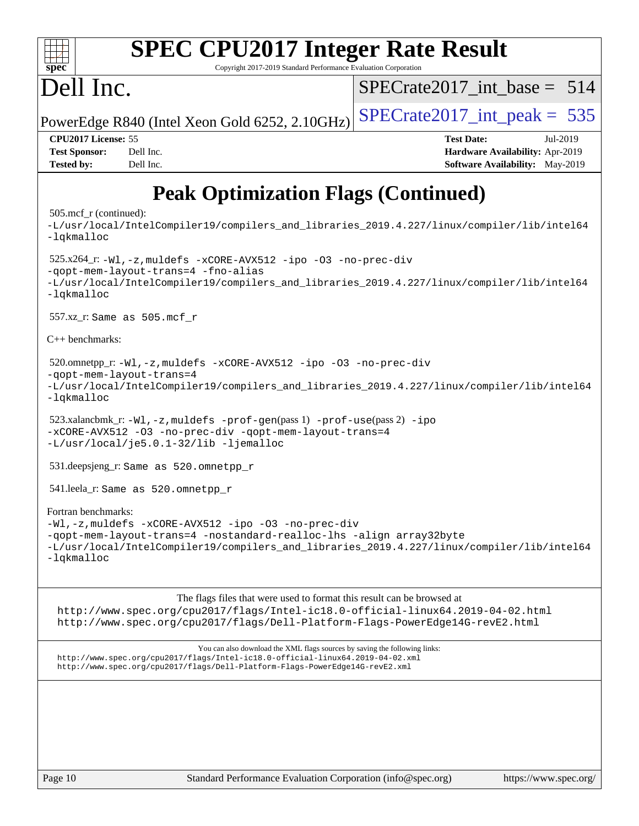| $\overline{\text{spec}^*}$                                       | <b>SPEC CPU2017 Integer Rate Result</b><br>Copyright 2017-2019 Standard Performance Evaluation Corporation                                                                                                               |                                                                                         |          |
|------------------------------------------------------------------|--------------------------------------------------------------------------------------------------------------------------------------------------------------------------------------------------------------------------|-----------------------------------------------------------------------------------------|----------|
| Dell Inc.                                                        |                                                                                                                                                                                                                          | $SPECrate2017$ int base = 514                                                           |          |
|                                                                  | PowerEdge R840 (Intel Xeon Gold 6252, 2.10GHz)                                                                                                                                                                           | $SPECTate2017\_int\_peak = 535$                                                         |          |
| CPU2017 License: 55<br><b>Test Sponsor:</b><br><b>Tested by:</b> | Dell Inc.<br>Dell Inc.                                                                                                                                                                                                   | <b>Test Date:</b><br>Hardware Availability: Apr-2019<br>Software Availability: May-2019 | Jul-2019 |
|                                                                  | <b>Peak Optimization Flags (Continued)</b>                                                                                                                                                                               |                                                                                         |          |
| 505.mcf_r (continued):<br>$-lq$ kmalloc                          | -L/usr/local/IntelCompiler19/compilers_and_libraries_2019.4.227/linux/compiler/lib/intel64                                                                                                                               |                                                                                         |          |
| -lqkmalloc                                                       | $525.x264_r: -W1, -z$ , muldefs $-xCORE-AVX512 - ipo -03 -no-prec-div$<br>-qopt-mem-layout-trans=4 -fno-alias<br>-L/usr/local/IntelCompiler19/compilers_and_libraries_2019.4.227/linux/compiler/lib/intel64              |                                                                                         |          |
|                                                                  | 557.xz_r: Same as 505.mcf r                                                                                                                                                                                              |                                                                                         |          |
| C++ benchmarks:                                                  |                                                                                                                                                                                                                          |                                                                                         |          |
| -lqkmalloc                                                       | 520.omnetpp_r: -Wl, -z, muldefs -xCORE-AVX512 -ipo -03 -no-prec-div<br>-gopt-mem-layout-trans=4<br>-L/usr/local/IntelCompiler19/compilers_and_libraries_2019.4.227/linux/compiler/lib/intel64                            |                                                                                         |          |
|                                                                  | 523.xalancbmk_r: -Wl, -z, muldefs -prof-gen(pass 1) -prof-use(pass 2) -ipo<br>-xCORE-AVX512 -03 -no-prec-div -qopt-mem-layout-trans=4<br>-L/usr/local/je5.0.1-32/lib -ljemalloc                                          |                                                                                         |          |
|                                                                  | 531.deepsjeng_r: Same as 520.omnetpp_r                                                                                                                                                                                   |                                                                                         |          |
|                                                                  | 541.leela_r: Same as 520.omnetpp_r                                                                                                                                                                                       |                                                                                         |          |
| Fortran benchmarks:                                              | -Wl,-z, muldefs -xCORE-AVX512 -ipo -03 -no-prec-div<br>-qopt-mem-layout-trans=4 -nostandard-realloc-lhs -align array32byte<br>-L/usr/local/IntelCompiler19/compilers and libraries 2019.4.227/linux/compiler/lib/intel64 |                                                                                         |          |

The flags files that were used to format this result can be browsed at

<http://www.spec.org/cpu2017/flags/Intel-ic18.0-official-linux64.2019-04-02.html> <http://www.spec.org/cpu2017/flags/Dell-Platform-Flags-PowerEdge14G-revE2.html>

You can also download the XML flags sources by saving the following links: <http://www.spec.org/cpu2017/flags/Intel-ic18.0-official-linux64.2019-04-02.xml> <http://www.spec.org/cpu2017/flags/Dell-Platform-Flags-PowerEdge14G-revE2.xml>

[-lqkmalloc](http://www.spec.org/cpu2017/results/res2019q3/cpu2017-20190805-16474.flags.html#user_FCpeak_qkmalloc_link_lib_79a818439969f771c6bc311cfd333c00fc099dad35c030f5aab9dda831713d2015205805422f83de8875488a2991c0a156aaa600e1f9138f8fc37004abc96dc5)